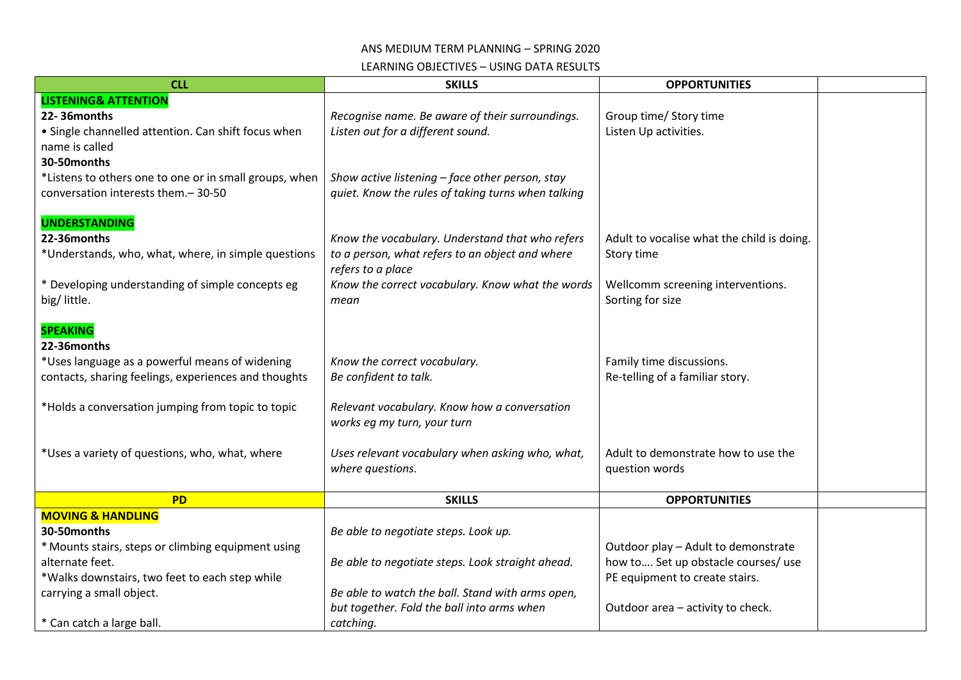## ANS MEDIUM TERM PLANNING – SPRING 2020

## LEARNING OBJECTIVES – USING DATA RESULTS

| <b>CLL</b>                                             | <b>SKILLS</b>                                      | <b>OPPORTUNITIES</b>                       |
|--------------------------------------------------------|----------------------------------------------------|--------------------------------------------|
| <b>LISTENING&amp; ATTENTION</b>                        |                                                    |                                            |
| 22-36months                                            | Recognise name. Be aware of their surroundings.    | Group time/ Story time                     |
| • Single channelled attention. Can shift focus when    | Listen out for a different sound.                  | Listen Up activities.                      |
| name is called                                         |                                                    |                                            |
| 30-50months                                            |                                                    |                                            |
| *Listens to others one to one or in small groups, when | Show active listening - face other person, stay    |                                            |
| conversation interests them. - 30-50                   | quiet. Know the rules of taking turns when talking |                                            |
|                                                        |                                                    |                                            |
| <b>UNDERSTANDING</b>                                   |                                                    |                                            |
| 22-36months                                            | Know the vocabulary. Understand that who refers    | Adult to vocalise what the child is doing. |
| *Understands, who, what, where, in simple questions    | to a person, what refers to an object and where    | Story time                                 |
|                                                        | refers to a place                                  |                                            |
| * Developing understanding of simple concepts eg       | Know the correct vocabulary. Know what the words   | Wellcomm screening interventions.          |
| big/little.                                            | mean                                               | Sorting for size                           |
| <b>SPEAKING</b>                                        |                                                    |                                            |
| 22-36months                                            |                                                    |                                            |
| *Uses language as a powerful means of widening         | Know the correct vocabulary.                       | Family time discussions.                   |
| contacts, sharing feelings, experiences and thoughts   | Be confident to talk.                              | Re-telling of a familiar story.            |
|                                                        |                                                    |                                            |
| *Holds a conversation jumping from topic to topic      | Relevant vocabulary. Know how a conversation       |                                            |
|                                                        | works eg my turn, your turn                        |                                            |
|                                                        |                                                    |                                            |
| *Uses a variety of questions, who, what, where         | Uses relevant vocabulary when asking who, what,    | Adult to demonstrate how to use the        |
|                                                        | where questions.                                   | question words                             |
|                                                        |                                                    |                                            |
| <b>PD</b>                                              | <b>SKILLS</b>                                      | <b>OPPORTUNITIES</b>                       |
| <b>MOVING &amp; HANDLING</b>                           |                                                    |                                            |
| 30-50months                                            | Be able to negotiate steps. Look up.               |                                            |
| * Mounts stairs, steps or climbing equipment using     |                                                    | Outdoor play - Adult to demonstrate        |
| alternate feet.                                        | Be able to negotiate steps. Look straight ahead.   | how to Set up obstacle courses/ use        |
| *Walks downstairs, two feet to each step while         |                                                    | PE equipment to create stairs.             |
| carrying a small object.                               | Be able to watch the ball. Stand with arms open,   |                                            |
|                                                        | but together. Fold the ball into arms when         | Outdoor area - activity to check.          |
| * Can catch a large ball.                              | catching.                                          |                                            |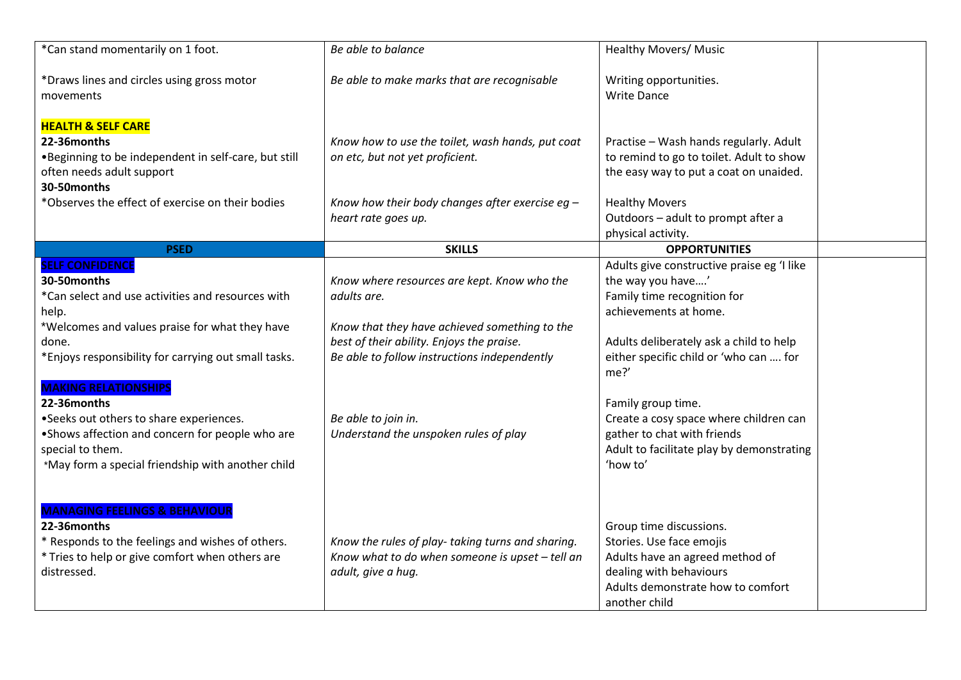| *Can stand momentarily on 1 foot.                                                                                                                                                                                 | Be able to balance                                                                                                                         | Healthy Movers/ Music                                                                                                                                                   |  |
|-------------------------------------------------------------------------------------------------------------------------------------------------------------------------------------------------------------------|--------------------------------------------------------------------------------------------------------------------------------------------|-------------------------------------------------------------------------------------------------------------------------------------------------------------------------|--|
| *Draws lines and circles using gross motor<br>movements                                                                                                                                                           | Be able to make marks that are recognisable                                                                                                | Writing opportunities.<br><b>Write Dance</b>                                                                                                                            |  |
| <b>HEALTH &amp; SELF CARE</b><br>22-36months<br>.Beginning to be independent in self-care, but still<br>often needs adult support                                                                                 | Know how to use the toilet, wash hands, put coat<br>on etc, but not yet proficient.                                                        | Practise - Wash hands regularly. Adult<br>to remind to go to toilet. Adult to show<br>the easy way to put a coat on unaided.                                            |  |
| 30-50months<br>*Observes the effect of exercise on their bodies                                                                                                                                                   | Know how their body changes after exercise eg $-$<br>heart rate goes up.                                                                   | <b>Healthy Movers</b><br>Outdoors - adult to prompt after a<br>physical activity.                                                                                       |  |
| <b>PSED</b>                                                                                                                                                                                                       | <b>SKILLS</b>                                                                                                                              | <b>OPPORTUNITIES</b>                                                                                                                                                    |  |
| <b>SELF CONFIDENCE</b><br>30-50months<br>*Can select and use activities and resources with<br>help.                                                                                                               | Know where resources are kept. Know who the<br>adults are.                                                                                 | Adults give constructive praise eg 'I like<br>the way you have'<br>Family time recognition for<br>achievements at home.                                                 |  |
| *Welcomes and values praise for what they have<br>done.<br>*Enjoys responsibility for carrying out small tasks.                                                                                                   | Know that they have achieved something to the<br>best of their ability. Enjoys the praise.<br>Be able to follow instructions independently | Adults deliberately ask a child to help<br>either specific child or 'who can  for<br>me?'                                                                               |  |
| <b>MAKING RELATIONSHIPS</b><br>22-36months<br>•Seeks out others to share experiences.<br>•Shows affection and concern for people who are<br>special to them.<br>*May form a special friendship with another child | Be able to join in.<br>Understand the unspoken rules of play                                                                               | Family group time.<br>Create a cosy space where children can<br>gather to chat with friends<br>Adult to facilitate play by demonstrating<br>'how to'                    |  |
| MANAGING FEELINGS & BEHAVIOUR<br>22-36months<br>* Responds to the feelings and wishes of others.<br>* Tries to help or give comfort when others are<br>distressed.                                                | Know the rules of play- taking turns and sharing.<br>Know what to do when someone is upset - tell an<br>adult, give a hug.                 | Group time discussions.<br>Stories. Use face emojis<br>Adults have an agreed method of<br>dealing with behaviours<br>Adults demonstrate how to comfort<br>another child |  |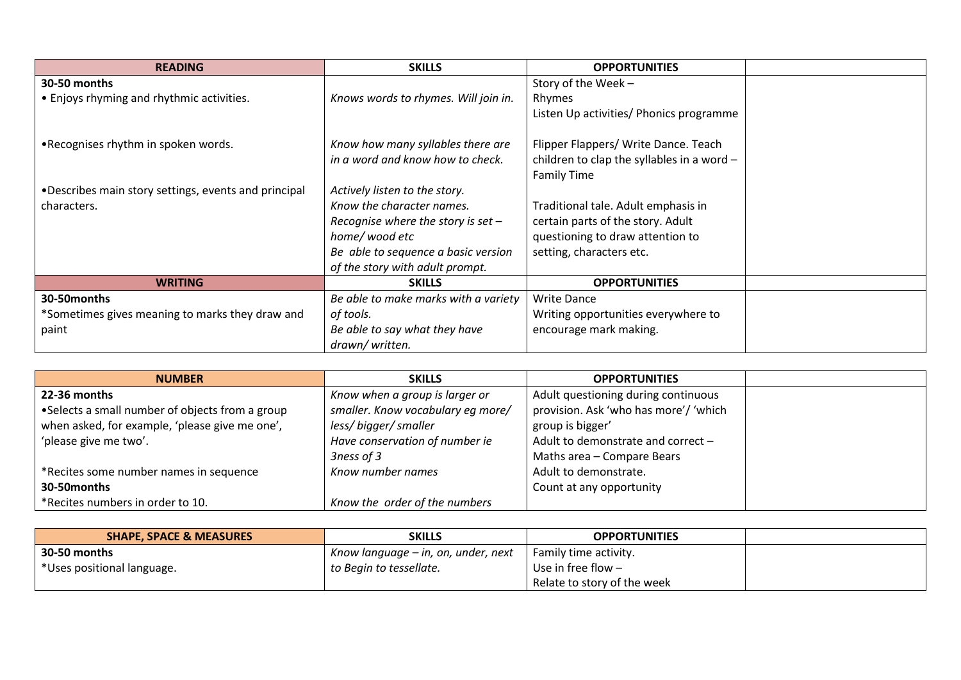| <b>READING</b>                                       | <b>SKILLS</b>                        | <b>OPPORTUNITIES</b>                       |  |
|------------------------------------------------------|--------------------------------------|--------------------------------------------|--|
| 30-50 months                                         |                                      | Story of the Week -                        |  |
| • Enjoys rhyming and rhythmic activities.            | Knows words to rhymes. Will join in. | Rhymes                                     |  |
|                                                      |                                      | Listen Up activities/ Phonics programme    |  |
|                                                      |                                      |                                            |  |
| •Recognises rhythm in spoken words.                  | Know how many syllables there are    | Flipper Flappers/ Write Dance. Teach       |  |
|                                                      | in a word and know how to check.     | children to clap the syllables in a word - |  |
|                                                      |                                      | <b>Family Time</b>                         |  |
| •Describes main story settings, events and principal | Actively listen to the story.        |                                            |  |
| characters.                                          | Know the character names.            | Traditional tale. Adult emphasis in        |  |
|                                                      | Recognise where the story is set $-$ | certain parts of the story. Adult          |  |
|                                                      | home/ wood etc                       | questioning to draw attention to           |  |
|                                                      | Be able to sequence a basic version  | setting, characters etc.                   |  |
|                                                      | of the story with adult prompt.      |                                            |  |
| <b>WRITING</b>                                       | <b>SKILLS</b>                        | <b>OPPORTUNITIES</b>                       |  |
| 30-50months                                          | Be able to make marks with a variety | <b>Write Dance</b>                         |  |
| *Sometimes gives meaning to marks they draw and      | of tools.                            | Writing opportunities everywhere to        |  |
| paint                                                | Be able to say what they have        | encourage mark making.                     |  |
|                                                      | drawn/written.                       |                                            |  |

| <b>NUMBER</b>                                    | <b>SKILLS</b>                     | <b>OPPORTUNITIES</b>                  |  |
|--------------------------------------------------|-----------------------------------|---------------------------------------|--|
| 22-36 months                                     | Know when a group is larger or    | Adult questioning during continuous   |  |
| • Selects a small number of objects from a group | smaller. Know vocabulary eq more/ | provision. Ask 'who has more'/ 'which |  |
| when asked, for example, 'please give me one',   | less/bigger/smaller               | group is bigger'                      |  |
| 'please give me two'.                            | Have conservation of number ie    | Adult to demonstrate and correct -    |  |
|                                                  | 3ness of 3                        | Maths area – Compare Bears            |  |
| *Recites some number names in sequence           | Know number names                 | Adult to demonstrate.                 |  |
| 30-50 months                                     |                                   | Count at any opportunity              |  |
| *Recites numbers in order to 10.                 | Know the order of the numbers     |                                       |  |

| <b>SHAPE. SPACE &amp; MEASURES</b> | <b>SKILLS</b>                       | <b>OPPORTUNITIES</b>        |  |
|------------------------------------|-------------------------------------|-----------------------------|--|
| 30-50 months                       | Know language – in, on, under, next | Family time activity.       |  |
| *Uses positional language.         | to Begin to tessellate.             | Use in free flow $-$        |  |
|                                    |                                     | Relate to story of the week |  |